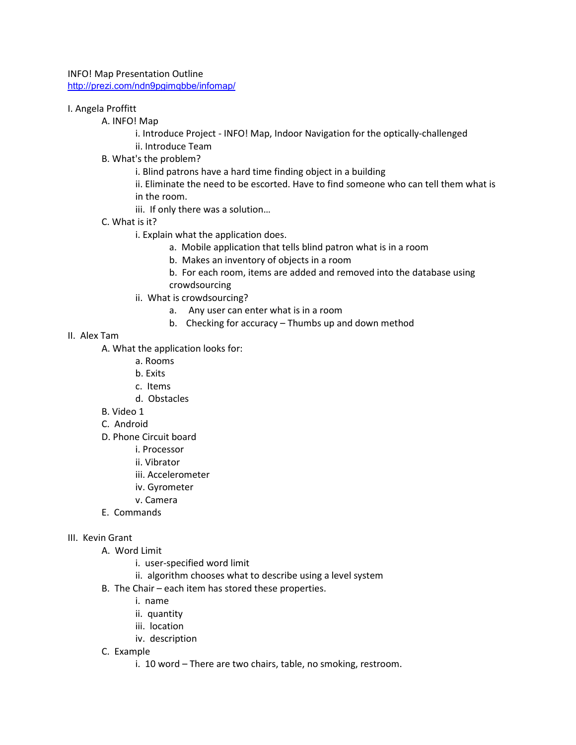INFO! Map Presentation Outline http://prezi.com/ndn9pgimqbbe/infomap/

## I. Angela Proffitt

A. INFO! Map

i. Introduce Project - INFO! Map, Indoor Navigation for the optically-challenged ii. Introduce Team

B. What's the problem?

i. Blind patrons have a hard time finding object in a building

ii. Eliminate the need to be escorted. Have to find someone who can tell them what is in the room.

- iii. If only there was a solution…
- C. What is it?
	- i. Explain what the application does.
		- a. Mobile application that tells blind patron what is in a room
		- b. Makes an inventory of objects in a room
		- b. For each room, items are added and removed into the database using crowdsourcing
	- ii. What is crowdsourcing?
		- a. Any user can enter what is in a room
		- b. Checking for accuracy Thumbs up and down method
- II. Alex Tam
	- A. What the application looks for:
		- a. Rooms
		- b. Exits
		- c. Items
		- d. Obstacles
	- B. Video 1
	- C. Android
	- D. Phone Circuit board
		- i. Processor
		- ii. Vibrator
		- iii. Accelerometer
		- iv. Gyrometer
		- v. Camera
	- E. Commands

## III. Kevin Grant

- A. Word Limit
	- i. user-specified word limit
	- ii. algorithm chooses what to describe using a level system
- B. The Chair each item has stored these properties.
	- i. name
	- ii. quantity
	- iii. location
	- iv. description
- C. Example
	- i. 10 word There are two chairs, table, no smoking, restroom.